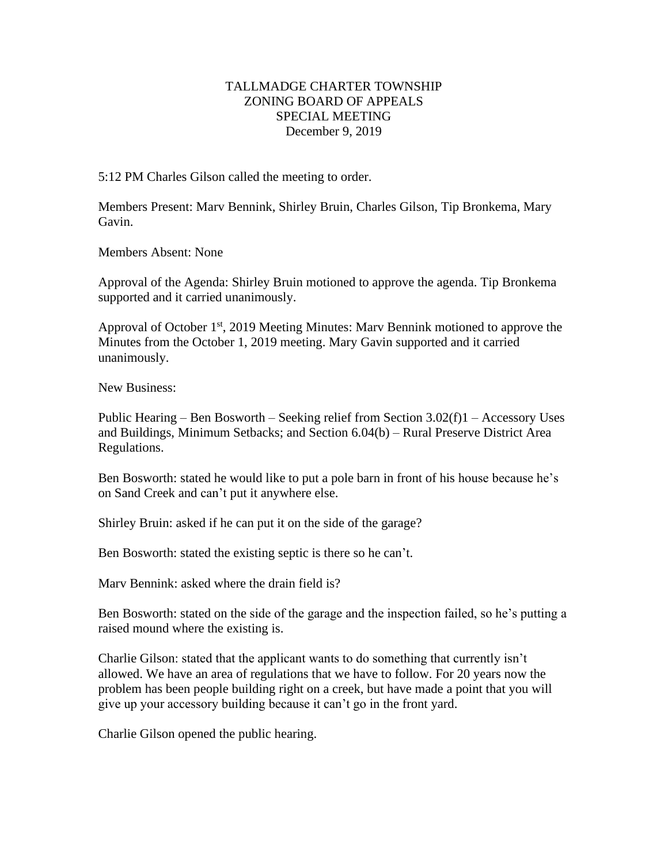## TALLMADGE CHARTER TOWNSHIP ZONING BOARD OF APPEALS SPECIAL MEETING December 9, 2019

5:12 PM Charles Gilson called the meeting to order.

Members Present: Marv Bennink, Shirley Bruin, Charles Gilson, Tip Bronkema, Mary Gavin.

Members Absent: None

Approval of the Agenda: Shirley Bruin motioned to approve the agenda. Tip Bronkema supported and it carried unanimously.

Approval of October 1<sup>st</sup>, 2019 Meeting Minutes: Marv Bennink motioned to approve the Minutes from the October 1, 2019 meeting. Mary Gavin supported and it carried unanimously.

New Business:

Public Hearing – Ben Bosworth – Seeking relief from Section 3.02(f)1 – Accessory Uses and Buildings, Minimum Setbacks; and Section 6.04(b) – Rural Preserve District Area Regulations.

Ben Bosworth: stated he would like to put a pole barn in front of his house because he's on Sand Creek and can't put it anywhere else.

Shirley Bruin: asked if he can put it on the side of the garage?

Ben Bosworth: stated the existing septic is there so he can't.

Marv Bennink: asked where the drain field is?

Ben Bosworth: stated on the side of the garage and the inspection failed, so he's putting a raised mound where the existing is.

Charlie Gilson: stated that the applicant wants to do something that currently isn't allowed. We have an area of regulations that we have to follow. For 20 years now the problem has been people building right on a creek, but have made a point that you will give up your accessory building because it can't go in the front yard.

Charlie Gilson opened the public hearing.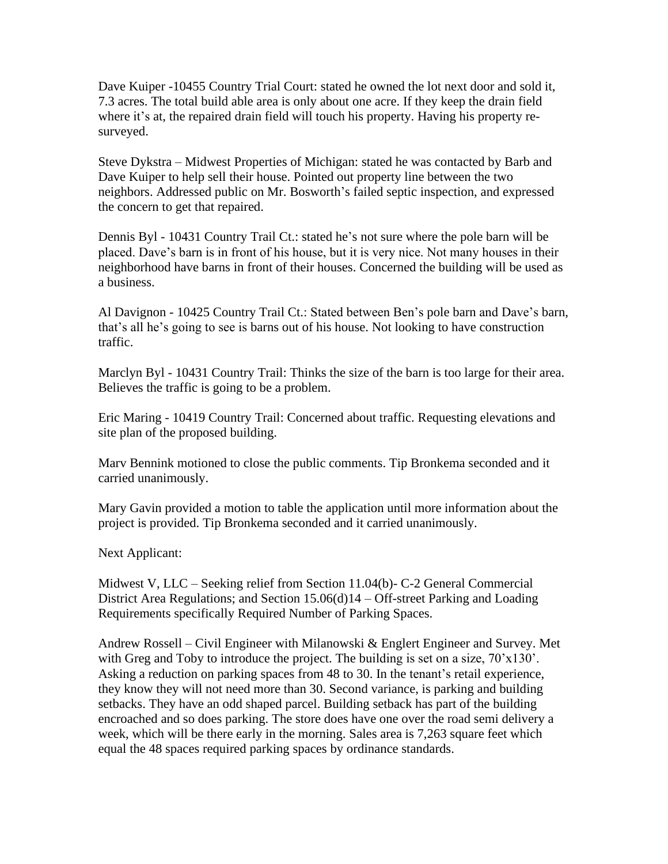Dave Kuiper -10455 Country Trial Court: stated he owned the lot next door and sold it, 7.3 acres. The total build able area is only about one acre. If they keep the drain field where it's at, the repaired drain field will touch his property. Having his property resurveyed.

Steve Dykstra – Midwest Properties of Michigan: stated he was contacted by Barb and Dave Kuiper to help sell their house. Pointed out property line between the two neighbors. Addressed public on Mr. Bosworth's failed septic inspection, and expressed the concern to get that repaired.

Dennis Byl - 10431 Country Trail Ct.: stated he's not sure where the pole barn will be placed. Dave's barn is in front of his house, but it is very nice. Not many houses in their neighborhood have barns in front of their houses. Concerned the building will be used as a business.

Al Davignon - 10425 Country Trail Ct.: Stated between Ben's pole barn and Dave's barn, that's all he's going to see is barns out of his house. Not looking to have construction traffic.

Marclyn Byl - 10431 Country Trail: Thinks the size of the barn is too large for their area. Believes the traffic is going to be a problem.

Eric Maring - 10419 Country Trail: Concerned about traffic. Requesting elevations and site plan of the proposed building.

Marv Bennink motioned to close the public comments. Tip Bronkema seconded and it carried unanimously.

Mary Gavin provided a motion to table the application until more information about the project is provided. Tip Bronkema seconded and it carried unanimously.

Next Applicant:

Midwest V, LLC – Seeking relief from Section 11.04(b)- C-2 General Commercial District Area Regulations; and Section 15.06(d)14 – Off-street Parking and Loading Requirements specifically Required Number of Parking Spaces.

Andrew Rossell – Civil Engineer with Milanowski & Englert Engineer and Survey. Met with Greg and Toby to introduce the project. The building is set on a size,  $70'x130'$ . Asking a reduction on parking spaces from 48 to 30. In the tenant's retail experience, they know they will not need more than 30. Second variance, is parking and building setbacks. They have an odd shaped parcel. Building setback has part of the building encroached and so does parking. The store does have one over the road semi delivery a week, which will be there early in the morning. Sales area is 7,263 square feet which equal the 48 spaces required parking spaces by ordinance standards.